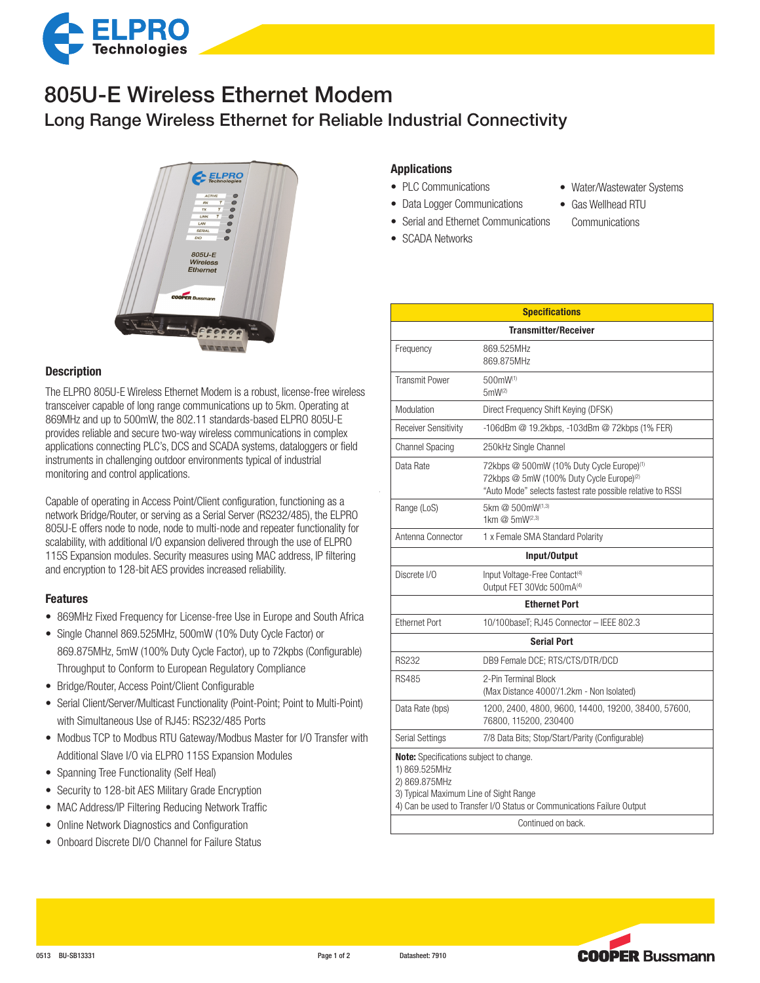

## Long Range Wireless Ethernet for Reliable Industrial Connectivity 805U-E Wireless Ethernet Modem



## **Description**

The ELPRO 805U-E Wireless Ethernet Modem is a robust, license-free wireless transceiver capable of long range communications up to 5km. Operating at 869MHz and up to 500mW, the 802.11 standards-based ELPRO 805U-E provides reliable and secure two-way wireless communications in complex applications connecting PLC's, DCS and SCADA systems, dataloggers or field instruments in challenging outdoor environments typical of industrial monitoring and control applications.

Capable of operating in Access Point/Client configuration, functioning as a network Bridge/Router, or serving as a Serial Server (RS232/485), the ELPRO 805U-E offers node to node, node to multi-node and repeater functionality for scalability, with additional I/O expansion delivered through the use of ELPRO 115S Expansion modules. Security measures using MAC address, IP filtering and encryption to 128-bit AES provides increased reliability.

#### Features

- 869MHz Fixed Frequency for License-free Use in Europe and South Africa
- Single Channel 869.525MHz, 500mW (10% Duty Cycle Factor) or 869.875MHz, 5mW (100% Duty Cycle Factor), up to 72kpbs (Configurable) Throughput to Conform to European Regulatory Compliance
- Bridge/Router, Access Point/Client Configurable
- Serial Client/Server/Multicast Functionality (Point-Point; Point to Multi-Point) with Simultaneous Use of RJ45: RS232/485 Ports
- Modbus TCP to Modbus RTU Gateway/Modbus Master for I/O Transfer with Additional Slave I/O via ELPRO 115S Expansion Modules
- Spanning Tree Functionality (Self Heal)
- Security to 128-bit AES Military Grade Encryption
- MAC Address/IP Filtering Reducing Network Traffic
- Online Network Diagnostics and Configuration
- Onboard Discrete DI/O Channel for Failure Status

## Applications

- PLC Communications
- Data Logger Communications
- Serial and Ethernet Communications
- SCADA Networks
- Water/Wastewater Systems
- • Gas Wellhead RTU
- **Communications**
- Transmitter/Receiver Frequency 869.525MHz 869.875MHz Transmit Power 500mW(1) 5mW(2) Modulation Direct Frequency Shift Keying (DFSK) Receiver Sensitivity -106dBm @ 19.2kbps, -103dBm @ 72kbps (1% FER) Channel Spacing 250kHz Single Channel Data Rate 72kbps @ 500mW (10% Duty Cycle Europe)<sup>(1)</sup> 72kbps @ 5mW (100% Duty Cycle Europe)<sup>(2)</sup> "Auto Mode" selects fastest rate possible relative to RSSI Range (LoS) 5km @ 500mW(1,3) 1km @ 5mW(2,3) Antenna Connector 1 x Female SMA Standard Polarity Input/Output Discrete I/O Input Voltage-Free Contact<sup>(4)</sup> Output FET 30Vdc 500mA<sup>(4)</sup> Ethernet Port Ethernet Port 10/100baseT; RJ45 Connector – IEEE 802.3 Serial Port RS232 DB9 Female DCE; RTS/CTS/DTR/DCD RS485 2-Pin Terminal Block (Max Distance 4000'/1.2km - Non Isolated) Data Rate (bps) 1200, 2400, 4800, 9600, 14400, 19200, 38400, 57600, 76800, 115200, 230400 Serial Settings 7/8 Data Bits; Stop/Start/Parity (Configurable) Note: Specifications subject to change. 1) 869.525MHz 2) 869.875MHz 3) Typical Maximum Line of Sight Range 4) Can be used to Transfer I/O Status or Communications Failure Output Continued on back.

**Specifications**